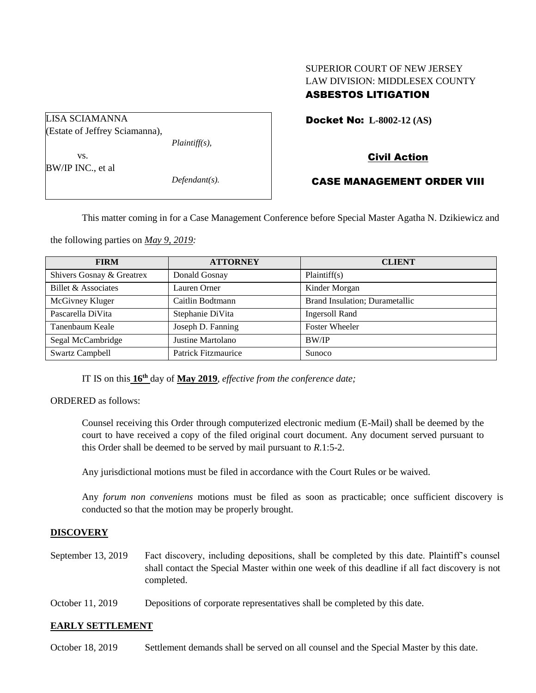# SUPERIOR COURT OF NEW JERSEY LAW DIVISION: MIDDLESEX COUNTY ASBESTOS LITIGATION

Docket No: **L-8002-12 (AS)** 

Civil Action

## CASE MANAGEMENT ORDER VIII

This matter coming in for a Case Management Conference before Special Master Agatha N. Dzikiewicz and

the following parties on *May 9, 2019:*

| <b>FIRM</b>               | <b>ATTORNEY</b>     | <b>CLIENT</b>                  |
|---------------------------|---------------------|--------------------------------|
| Shivers Gosnay & Greatrex | Donald Gosnay       | Plaintiff(s)                   |
| Billet & Associates       | Lauren Orner        | Kinder Morgan                  |
| McGivney Kluger           | Caitlin Bodtmann    | Brand Insulation; Durametallic |
| Pascarella DiVita         | Stephanie DiVita    | <b>Ingersoll Rand</b>          |
| Tanenbaum Keale           | Joseph D. Fanning   | <b>Foster Wheeler</b>          |
| Segal McCambridge         | Justine Martolano   | BW/IP                          |
| <b>Swartz Campbell</b>    | Patrick Fitzmaurice | Sunoco                         |

IT IS on this  $16<sup>th</sup>$  day of May 2019, *effective from the conference date*;

ORDERED as follows:

Counsel receiving this Order through computerized electronic medium (E-Mail) shall be deemed by the court to have received a copy of the filed original court document. Any document served pursuant to this Order shall be deemed to be served by mail pursuant to *R*.1:5-2.

Any jurisdictional motions must be filed in accordance with the Court Rules or be waived.

Any *forum non conveniens* motions must be filed as soon as practicable; once sufficient discovery is conducted so that the motion may be properly brought.

#### **DISCOVERY**

- September 13, 2019 Fact discovery, including depositions, shall be completed by this date. Plaintiff's counsel shall contact the Special Master within one week of this deadline if all fact discovery is not completed.
- October 11, 2019 Depositions of corporate representatives shall be completed by this date.

#### **EARLY SETTLEMENT**

October 18, 2019 Settlement demands shall be served on all counsel and the Special Master by this date.

LISA SCIAMANNA (Estate of Jeffrey Sciamanna),

*Plaintiff(s),*

vs. BW/IP INC., et al

*Defendant(s).*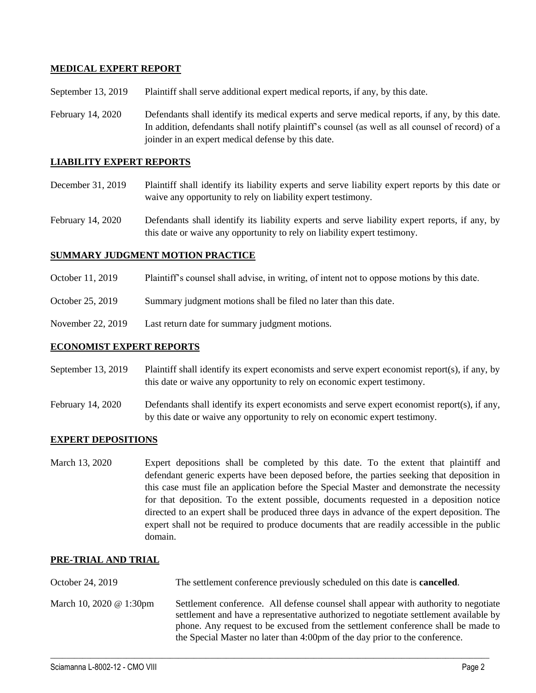## **MEDICAL EXPERT REPORT**

September 13, 2019 Plaintiff shall serve additional expert medical reports, if any, by this date.

February 14, 2020 Defendants shall identify its medical experts and serve medical reports, if any, by this date. In addition, defendants shall notify plaintiff's counsel (as well as all counsel of record) of a joinder in an expert medical defense by this date.

#### **LIABILITY EXPERT REPORTS**

- December 31, 2019 Plaintiff shall identify its liability experts and serve liability expert reports by this date or waive any opportunity to rely on liability expert testimony.
- February 14, 2020 Defendants shall identify its liability experts and serve liability expert reports, if any, by this date or waive any opportunity to rely on liability expert testimony.

## **SUMMARY JUDGMENT MOTION PRACTICE**

- October 11, 2019 Plaintiff's counsel shall advise, in writing, of intent not to oppose motions by this date.
- October 25, 2019 Summary judgment motions shall be filed no later than this date.
- November 22, 2019 Last return date for summary judgment motions.

#### **ECONOMIST EXPERT REPORTS**

- September 13, 2019 Plaintiff shall identify its expert economists and serve expert economist report(s), if any, by this date or waive any opportunity to rely on economic expert testimony.
- February 14, 2020 Defendants shall identify its expert economists and serve expert economist report(s), if any, by this date or waive any opportunity to rely on economic expert testimony.

#### **EXPERT DEPOSITIONS**

March 13, 2020 Expert depositions shall be completed by this date. To the extent that plaintiff and defendant generic experts have been deposed before, the parties seeking that deposition in this case must file an application before the Special Master and demonstrate the necessity for that deposition. To the extent possible, documents requested in a deposition notice directed to an expert shall be produced three days in advance of the expert deposition. The expert shall not be required to produce documents that are readily accessible in the public domain.

#### **PRE-TRIAL AND TRIAL**

- October 24, 2019 The settlement conference previously scheduled on this date is **cancelled**.
- March 10, 2020 @ 1:30pm Settlement conference. All defense counsel shall appear with authority to negotiate settlement and have a representative authorized to negotiate settlement available by phone. Any request to be excused from the settlement conference shall be made to the Special Master no later than 4:00pm of the day prior to the conference.

 $\_$  , and the set of the set of the set of the set of the set of the set of the set of the set of the set of the set of the set of the set of the set of the set of the set of the set of the set of the set of the set of th